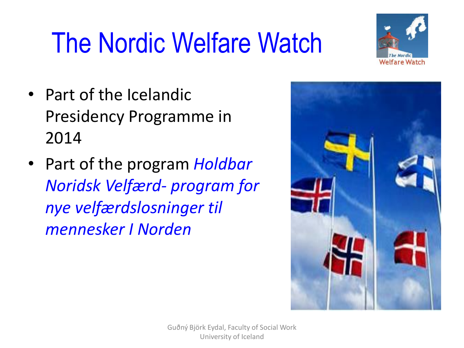# The Nordic Welfare Watch



- Part of the Icelandic Presidency Programme in 2014
- Part of the program *Holdbar Noridsk Velfærd- program for nye velfærdslosninger til mennesker I Norden*

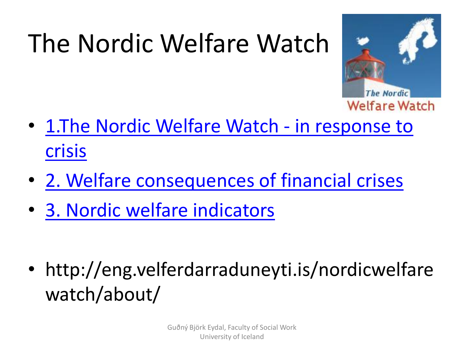## The Nordic Welfare Watch



- [1.The Nordic Welfare Watch -](http://eng.velferdarraduneyti.is/nordicwelfarewatch/in-response-to-crises/) in response to crisis
- [2. Welfare consequences of financial crises](http://eng.velferdarraduneyti.is/nordicwelfarewatch/welfare-consequences-of-financial-crises/)
- [3. Nordic welfare indicators](http://eng.velferdarraduneyti.is/nordicwelfarewatch/nordic-welfare-indicators/)

• http://eng.velferdarraduneyti.is/nordicwelfare watch/about/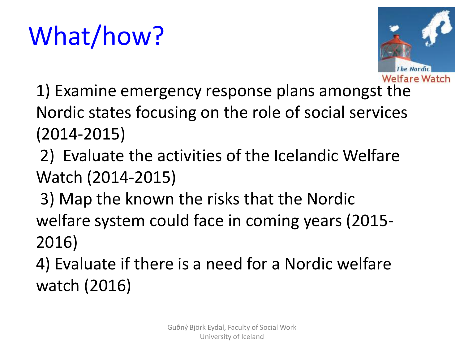## What/how?



- 1) Examine emergency response plans amongst the Nordic states focusing on the role of social services (2014-2015)
- 2) Evaluate the activities of the Icelandic Welfare Watch (2014-2015)
- 3) Map the known the risks that the Nordic welfare system could face in coming years (2015- 2016)
- 4) Evaluate if there is a need for a Nordic welfare watch (2016)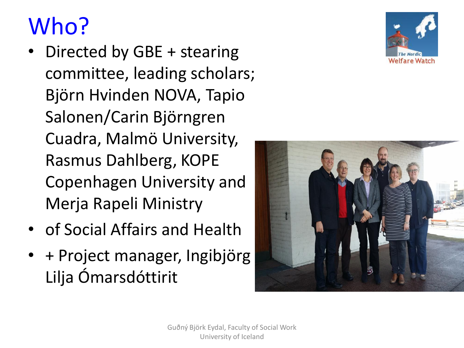## Who?

- Directed by GBE + stearing committee, leading scholars; Björn Hvinden NOVA, Tapio Salonen/Carin Björngren Cuadra, Malmö University, Rasmus Dahlberg, KOPE Copenhagen University and Merja Rapeli Ministry
- of Social Affairs and Health
- + Project manager, Ingibjörg Lilja Ómarsdóttirit



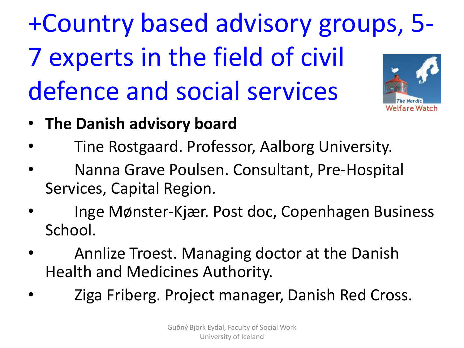+Country based advisory groups, 5- 7 experts in the field of civil defence and social services

elfare Watch

- **The Danish advisory board**
- Tine Rostgaard. Professor, Aalborg University.
- Nanna Grave Poulsen. Consultant, Pre-Hospital Services, Capital Region.
- Inge Mønster-Kjær. Post doc, Copenhagen Business School.
- Annlize Troest. Managing doctor at the Danish Health and Medicines Authority.
- Ziga Friberg. Project manager, Danish Red Cross.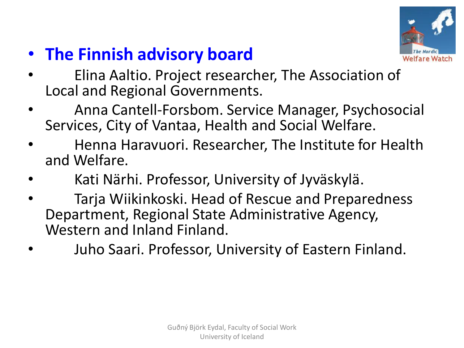

- **The Finnish advisory board**
- Elina Aaltio. Project researcher, The Association of Local and Regional Governments.
- Anna Cantell-Forsbom. Service Manager, Psychosocial Services, City of Vantaa, Health and Social Welfare.
- Henna Haravuori. Researcher, The Institute for Health and Welfare.
- Kati Närhi. Professor, University of Jyväskylä.
- Tarja Wiikinkoski. Head of Rescue and Preparedness Department, Regional State Administrative Agency, Western and Inland Finland.
- Juho Saari. Professor, University of Eastern Finland.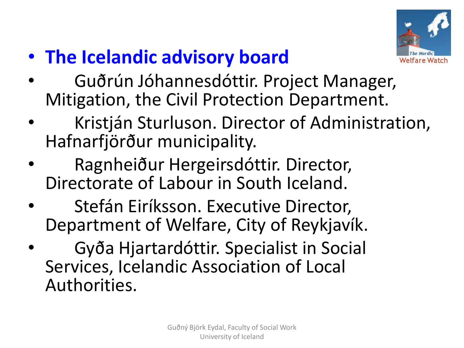

- **The Icelandic advisory board**
- Guðrún Jóhannesdóttir. Project Manager, Mitigation, the Civil Protection Department.
- Kristján Sturluson. Director of Administration, Hafnarfjörður municipality.
- Ragnheiður Hergeirsdóttir. Director, Directorate of Labour in South Iceland.
- Stefán Eiríksson. Executive Director, Department of Welfare, City of Reykjavík.
- Gyða Hjartardóttir. Specialist in Social Services, Icelandic Association of Local Authorities.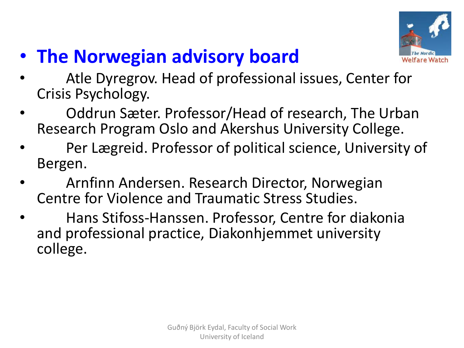

- **The Norwegian advisory board**
- Atle Dyregrov. Head of professional issues, Center for Crisis Psychology.
- Oddrun Sæter. Professor/Head of research, The Urban Research Program Oslo and Akershus University College.
- Per Lægreid. Professor of political science, University of Bergen.
- Arnfinn Andersen. Research Director, Norwegian Centre for Violence and Traumatic Stress Studies.
- Hans Stifoss-Hanssen. Professor, Centre for diakonia and professional practice, Diakonhjemmet university college.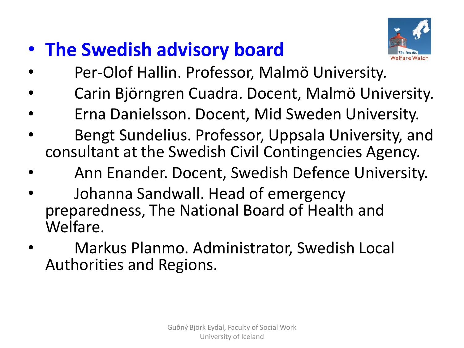### • **The Swedish advisory board**



- Per-Olof Hallin. Professor, Malmö University.
- Carin Björngren Cuadra. Docent, Malmö University.
- Erna Danielsson. Docent, Mid Sweden University.
- Bengt Sundelius. Professor, Uppsala University, and consultant at the Swedish Civil Contingencies Agency.
- Ann Enander. Docent, Swedish Defence University.
- Johanna Sandwall. Head of emergency preparedness, The National Board of Health and Welfare.
- Markus Planmo. Administrator, Swedish Local Authorities and Regions.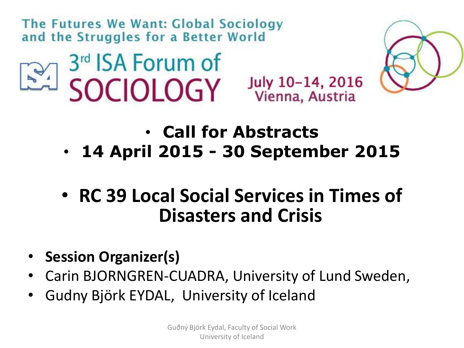The Futures We Want: Global Sociology and the Struggles for a Better World





July 10-14, 2016 Vienna, Austria



- **Call for Abstracts**  • **14 April 2015 - 30 September 2015**
- **RC 39 Local Social Services in Times of Disasters and Crisis**
- **Session Organizer(s)**
- Carin BJORNGREN-CUADRA, University of Lund Sweden,
- Gudny Björk EYDAL, University of Iceland